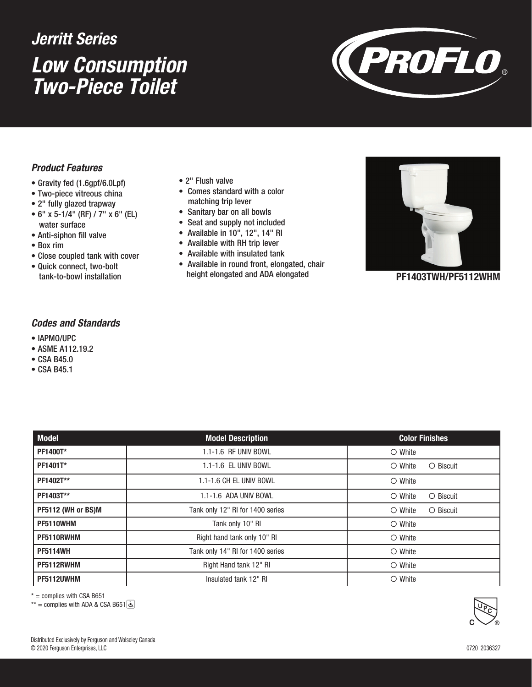# *Low Consumption Two-Piece Toilet Jerritt Series*



### *Product Features*

- Gravity fed (1.6gpf/6.0Lpf)
- Two-piece vitreous china
- 2" fully glazed trapway
- 6" x 5-1/4" (RF) / 7" x 6" (EL) water surface
- Anti-siphon fill valve
- Box rim
- Close coupled tank with cover
- Quick connect, two-bolt
- 2" Flush valve
- Comes standard with a color matching trip lever
- Sanitary bar on all bowls
- Seat and supply not included
- Available in 10", 12", 14" RI
- Available with RH trip lever
- Available with insulated tank
- tank-to-bowl installation **Example 19 reading the state of the state of the ends** to the product of the product o • Available in round front, elongated, chair height elongated and ADA elongated



### *Codes and Standards*

- IAPMO/UPC
- ASME A112.19.2
- CSA B45.0
- CSA B45.1

| <b>Model</b>       | <b>Model Description</b>         | <b>Color Finishes</b>               |
|--------------------|----------------------------------|-------------------------------------|
| PF1400T*           | 1.1-1.6 RF UNIV BOWL             | $\circ$ White                       |
| PF1401T*           | 1.1-1.6 EL UNIV BOWL             | O Biscuit<br>$\bigcirc$ White       |
| PF1402T**          | 1.1-1.6 CH EL UNIV BOWL          | $\bigcirc$ White                    |
| PF1403T**          | 1.1-1.6 ADA UNIV BOWL            | $\bigcirc$ White<br>$\circ$ Biscuit |
| PF5112 (WH or BS)M | Tank only 12" RI for 1400 series | $\circ$ White<br>$\circ$ Biscuit    |
| PF5110WHM          | Tank only 10" RI                 | $\circ$ White                       |
| PF5110RWHM         | Right hand tank only 10" RI      | $\circ$ White                       |
| <b>PF5114WH</b>    | Tank only 14" RI for 1400 series | $\circ$ White                       |
| PF5112RWHM         | Right Hand tank 12" RI           | $\circ$ White                       |
| PF5112UWHM         | Insulated tank 12" RI            | $\circ$ White                       |

 $* =$  complies with CSA B651

 $**$  = complies with ADA & CSA B651 &